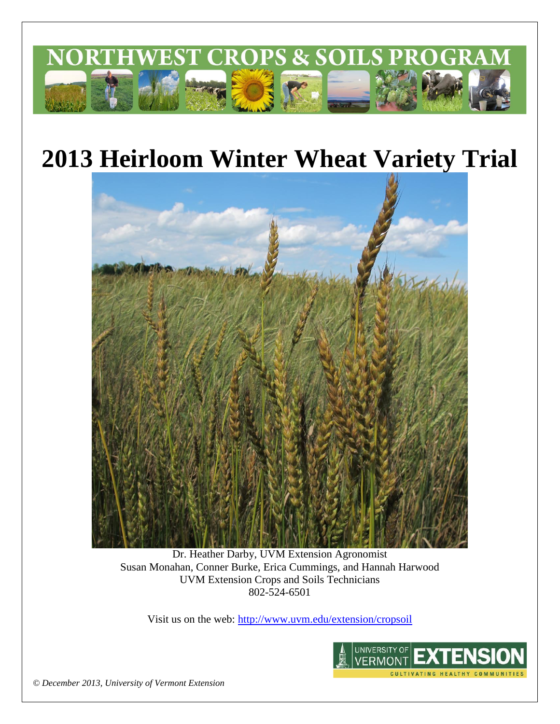

# **2013 Heirloom Winter Wheat Variety Trial**



Dr. Heather Darby, UVM Extension Agronomist Susan Monahan, Conner Burke, Erica Cummings, and Hannah Harwood UVM Extension Crops and Soils Technicians 802-524-6501

Visit us on the web: <http://www.uvm.edu/extension/cropsoil>



*© December 2013, University of Vermont Extension*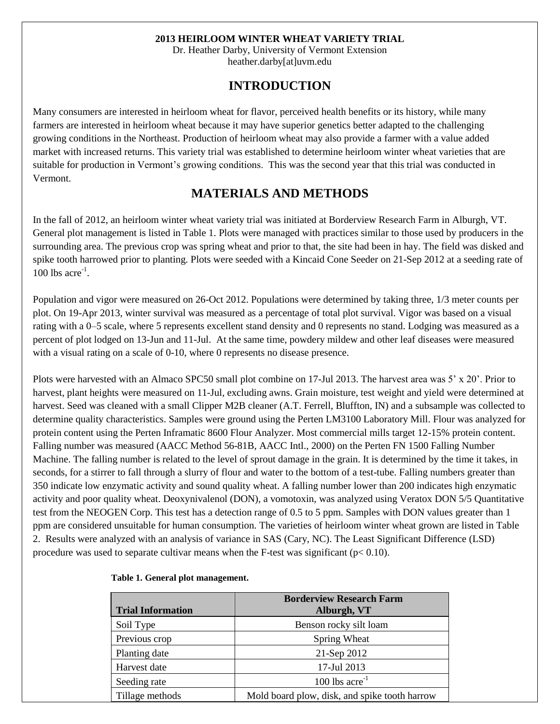#### **2013 HEIRLOOM WINTER WHEAT VARIETY TRIAL**

Dr. Heather Darby, University of Vermont Extension heather.darby[at]uvm.edu

## **INTRODUCTION**

Many consumers are interested in heirloom wheat for flavor, perceived health benefits or its history, while many farmers are interested in heirloom wheat because it may have superior genetics better adapted to the challenging growing conditions in the Northeast. Production of heirloom wheat may also provide a farmer with a value added market with increased returns. This variety trial was established to determine heirloom winter wheat varieties that are suitable for production in Vermont's growing conditions. This was the second year that this trial was conducted in Vermont.

## **MATERIALS AND METHODS**

In the fall of 2012, an heirloom winter wheat variety trial was initiated at Borderview Research Farm in Alburgh, VT. General plot management is listed in Table 1. Plots were managed with practices similar to those used by producers in the surrounding area. The previous crop was spring wheat and prior to that, the site had been in hay. The field was disked and spike tooth harrowed prior to planting. Plots were seeded with a Kincaid Cone Seeder on 21-Sep 2012 at a seeding rate of  $100$  lbs acre<sup>-1</sup>.

Population and vigor were measured on 26-Oct 2012. Populations were determined by taking three, 1/3 meter counts per plot. On 19-Apr 2013, winter survival was measured as a percentage of total plot survival. Vigor was based on a visual rating with a 0–5 scale, where 5 represents excellent stand density and 0 represents no stand. Lodging was measured as a percent of plot lodged on 13-Jun and 11-Jul. At the same time, powdery mildew and other leaf diseases were measured with a visual rating on a scale of 0-10, where 0 represents no disease presence.

Plots were harvested with an Almaco SPC50 small plot combine on 17-Jul 2013. The harvest area was 5' x 20'. Prior to harvest, plant heights were measured on 11-Jul, excluding awns. Grain moisture, test weight and yield were determined at harvest. Seed was cleaned with a small Clipper M2B cleaner (A.T. Ferrell, Bluffton, IN) and a subsample was collected to determine quality characteristics. Samples were ground using the Perten LM3100 Laboratory Mill. Flour was analyzed for protein content using the Perten Inframatic 8600 Flour Analyzer. Most commercial mills target 12-15% protein content. Falling number was measured (AACC Method 56-81B, AACC Intl., 2000) on the Perten FN 1500 Falling Number Machine. The falling number is related to the level of sprout damage in the grain. It is determined by the time it takes, in seconds, for a stirrer to fall through a slurry of flour and water to the bottom of a test-tube. Falling numbers greater than 350 indicate low enzymatic activity and sound quality wheat. A falling number lower than 200 indicates high enzymatic activity and poor quality wheat. Deoxynivalenol (DON), a vomotoxin, was analyzed using Veratox DON 5/5 Quantitative test from the NEOGEN Corp. This test has a detection range of 0.5 to 5 ppm. Samples with DON values greater than 1 ppm are considered unsuitable for human consumption. The varieties of heirloom winter wheat grown are listed in Table 2. Results were analyzed with an analysis of variance in SAS (Cary, NC). The Least Significant Difference (LSD) procedure was used to separate cultivar means when the F-test was significant ( $p < 0.10$ ).

|                          | <b>Borderview Research Farm</b>               |  |  |  |  |  |
|--------------------------|-----------------------------------------------|--|--|--|--|--|
| <b>Trial Information</b> | Alburgh, VT                                   |  |  |  |  |  |
| Soil Type                | Benson rocky silt loam                        |  |  |  |  |  |
| Previous crop            | Spring Wheat                                  |  |  |  |  |  |
| Planting date            | 21-Sep 2012                                   |  |  |  |  |  |
| Harvest date             | 17-Jul 2013                                   |  |  |  |  |  |
| Seeding rate             | $100$ lbs acre <sup>-1</sup>                  |  |  |  |  |  |
| Tillage methods          | Mold board plow, disk, and spike tooth harrow |  |  |  |  |  |

#### **Table 1. General plot management.**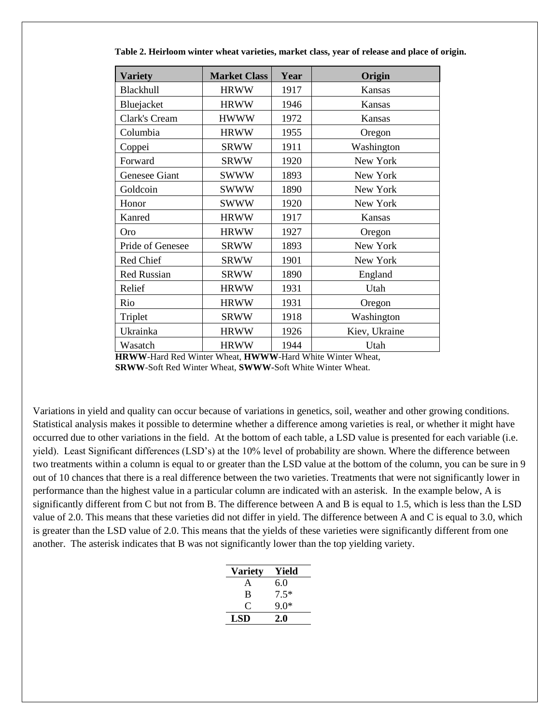| <b>Variety</b>     | <b>Market Class</b> | Year | Origin        |  |  |
|--------------------|---------------------|------|---------------|--|--|
| Blackhull          | <b>HRWW</b>         | 1917 | Kansas        |  |  |
| Bluejacket         | <b>HRWW</b>         | 1946 | Kansas        |  |  |
| Clark's Cream      | <b>HWWW</b>         | 1972 | Kansas        |  |  |
| Columbia           | <b>HRWW</b>         | 1955 | Oregon        |  |  |
| Coppei             | <b>SRWW</b>         | 1911 | Washington    |  |  |
| Forward            | <b>SRWW</b>         | 1920 | New York      |  |  |
| Genesee Giant      | <b>SWWW</b>         | 1893 | New York      |  |  |
| Goldcoin           | <b>SWWW</b>         | 1890 | New York      |  |  |
| Honor              | <b>SWWW</b>         | 1920 | New York      |  |  |
| Kanred             | <b>HRWW</b>         | 1917 | Kansas        |  |  |
| Oro                | <b>HRWW</b>         | 1927 | Oregon        |  |  |
| Pride of Genesee   | <b>SRWW</b>         | 1893 | New York      |  |  |
| Red Chief          | <b>SRWW</b>         | 1901 | New York      |  |  |
| <b>Red Russian</b> | <b>SRWW</b>         | 1890 | England       |  |  |
| Relief             | <b>HRWW</b>         | 1931 | Utah          |  |  |
| Rio                | <b>HRWW</b>         | 1931 | Oregon        |  |  |
| Triplet            | <b>SRWW</b>         | 1918 | Washington    |  |  |
| Ukrainka           | <b>HRWW</b>         | 1926 | Kiev, Ukraine |  |  |
| Wasatch            | <b>HRWW</b>         | 1944 | Utah          |  |  |

 **Table 2. Heirloom winter wheat varieties, market class, year of release and place of origin.** 

**HRWW**-Hard Red Winter Wheat, **HWWW**-Hard White Winter Wheat, **SRWW**-Soft Red Winter Wheat, **SWWW-**Soft White Winter Wheat.

Variations in yield and quality can occur because of variations in genetics, soil, weather and other growing conditions. Statistical analysis makes it possible to determine whether a difference among varieties is real, or whether it might have occurred due to other variations in the field. At the bottom of each table, a LSD value is presented for each variable (i.e. yield). Least Significant differences (LSD's) at the 10% level of probability are shown. Where the difference between two treatments within a column is equal to or greater than the LSD value at the bottom of the column, you can be sure in 9 out of 10 chances that there is a real difference between the two varieties. Treatments that were not significantly lower in performance than the highest value in a particular column are indicated with an asterisk. In the example below, A is significantly different from C but not from B. The difference between A and B is equal to 1.5, which is less than the LSD value of 2.0. This means that these varieties did not differ in yield. The difference between A and C is equal to 3.0, which is greater than the LSD value of 2.0. This means that the yields of these varieties were significantly different from one another. The asterisk indicates that B was not significantly lower than the top yielding variety.

| <b>Variety</b> | Yield  |
|----------------|--------|
| A              | 6.0    |
| B              | $7.5*$ |
| $\mathcal{C}$  | ዓ በ*   |
| LSD            | 2.0    |
|                |        |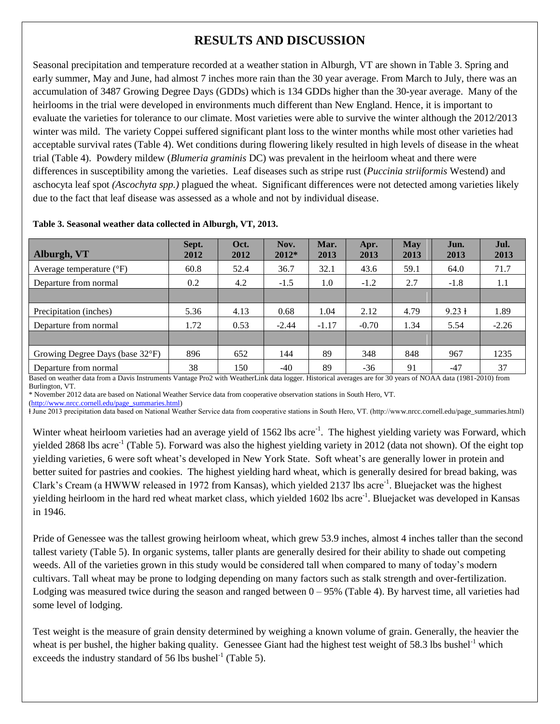# **RESULTS AND DISCUSSION**

Seasonal precipitation and temperature recorded at a weather station in Alburgh, VT are shown in Table 3. Spring and early summer, May and June, had almost 7 inches more rain than the 30 year average. From March to July, there was an accumulation of 3487 Growing Degree Days (GDDs) which is 134 GDDs higher than the 30-year average. Many of the heirlooms in the trial were developed in environments much different than New England. Hence, it is important to evaluate the varieties for tolerance to our climate. Most varieties were able to survive the winter although the 2012/2013 winter was mild. The variety Coppei suffered significant plant loss to the winter months while most other varieties had acceptable survival rates (Table 4). Wet conditions during flowering likely resulted in high levels of disease in the wheat trial (Table 4). Powdery mildew (*Blumeria graminis* DC) was prevalent in the heirloom wheat and there were differences in susceptibility among the varieties. Leaf diseases such as stripe rust (*Puccinia striiformis* Westend) and aschocyta leaf spot *(Ascochyta spp.)* plagued the wheat. Significant differences were not detected among varieties likely due to the fact that leaf disease was assessed as a whole and not by individual disease.

| Alburgh, VT                       | Sept.<br>2012 | Oct.<br>2012 | Nov.<br>$2012*$ | Mar.<br>2013 | Apr.<br>2013 | <b>May</b><br>2013 | Jun.<br>2013            | Jul.<br>2013 |
|-----------------------------------|---------------|--------------|-----------------|--------------|--------------|--------------------|-------------------------|--------------|
| Average temperature $(^{\circ}F)$ | 60.8          | 52.4         | 36.7            | 32.1         | 43.6         | 59.1               | 64.0                    | 71.7         |
| Departure from normal             | 0.2           | 4.2          | $-1.5$          | 1.0          | $-1.2$       | 2.7                | $-1.8$                  | 1.1          |
|                                   |               |              |                 |              |              |                    |                         |              |
| Precipitation (inches)            | 5.36          | 4.13         | 0.68            | 1.04         | 2.12         | 4.79               | $9.23 \text{ }^{\circ}$ | 1.89         |
| Departure from normal             | 1.72          | 0.53         | $-2.44$         | $-1.17$      | $-0.70$      | 1.34               | 5.54                    | $-2.26$      |
|                                   |               |              |                 |              |              |                    |                         |              |
| Growing Degree Days (base 32°F)   | 896           | 652          | 144             | 89           | 348          | 848                | 967                     | 1235         |
| Departure from normal             | 38            | 150          | $-40$           | 89           | $-36$        | 91                 | $-47$                   | 37           |

**Table 3. Seasonal weather data collected in Alburgh, VT, 2013.**

Based on weather data from a Davis Instruments Vantage Pro2 with WeatherLink data logger. Historical averages are for 30 years of NOAA data (1981-2010) from Burlington, VT.

\* November 2012 data are based on National Weather Service data from cooperative observation stations in South Hero, VT.

[\(http://www.nrcc.cornell.edu/page\\_summaries.html\)](http://www.nrcc.cornell.edu/page_summaries.html)

ⱡ June 2013 precipitation data based on National Weather Service data from cooperative stations in South Hero, VT. (http://www.nrcc.cornell.edu/page\_summaries.html)

Winter wheat heirloom varieties had an average yield of 1562 lbs acre<sup>-1</sup>. The highest yielding variety was Forward, which yielded 2868 lbs acre<sup>-1</sup> (Table 5). Forward was also the highest yielding variety in 2012 (data not shown). Of the eight top yielding varieties, 6 were soft wheat's developed in New York State. Soft wheat's are generally lower in protein and better suited for pastries and cookies. The highest yielding hard wheat, which is generally desired for bread baking, was Clark's Cream (a HWWW released in 1972 from Kansas), which yielded 2137 lbs acre<sup>-1</sup>. Bluejacket was the highest yielding heirloom in the hard red wheat market class, which yielded 1602 lbs acre<sup>-1</sup>. Bluejacket was developed in Kansas in 1946.

Pride of Genessee was the tallest growing heirloom wheat, which grew 53.9 inches, almost 4 inches taller than the second tallest variety (Table 5). In organic systems, taller plants are generally desired for their ability to shade out competing weeds. All of the varieties grown in this study would be considered tall when compared to many of today's modern cultivars. Tall wheat may be prone to lodging depending on many factors such as stalk strength and over-fertilization. Lodging was measured twice during the season and ranged between  $0 - 95\%$  (Table 4). By harvest time, all varieties had some level of lodging.

Test weight is the measure of grain density determined by weighing a known volume of grain. Generally, the heavier the wheat is per bushel, the higher baking quality. Genessee Giant had the highest test weight of 58.3 lbs bushel<sup>-1</sup> which exceeds the industry standard of 56 lbs bushel<sup>-1</sup> (Table 5).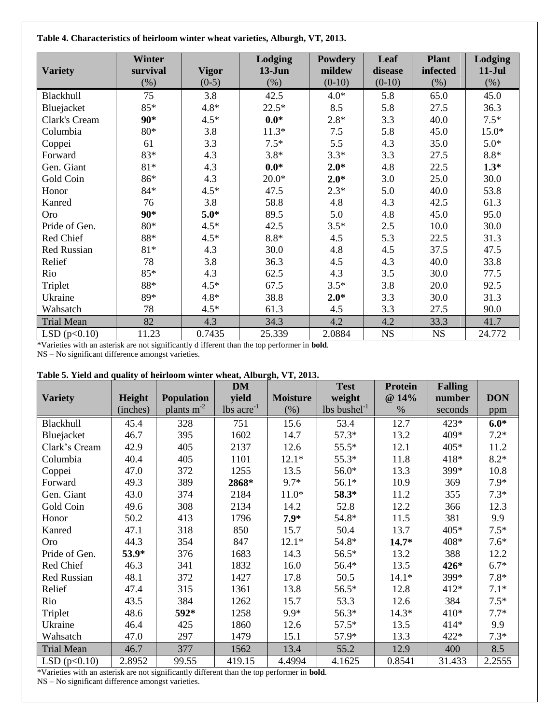**Table 4. Characteristics of heirloom winter wheat varieties, Alburgh, VT, 2013.**

| <b>Variety</b>     | <b>Winter</b><br>survival | <b>Vigor</b> | Lodging<br>$13-J$ un | <b>Powdery</b><br>mildew | Leaf<br>disease | <b>Plant</b><br>infected | Lodging<br>$11-Jul$ |
|--------------------|---------------------------|--------------|----------------------|--------------------------|-----------------|--------------------------|---------------------|
|                    | $(\%)$                    | $(0-5)$      | $(\%)$               | $(0-10)$                 | $(0-10)$        | $(\%)$                   | $(\%)$              |
| Blackhull          | 75                        | 3.8          | 42.5                 | $4.0*$                   | 5.8             | 65.0                     | 45.0                |
| Bluejacket         | 85*                       | $4.8*$       | $22.5*$              | 8.5                      | 5.8             | 27.5                     | 36.3                |
| Clark's Cream      | 90*                       | $4.5*$       | $0.0*$               | $2.8*$                   | 3.3             | 40.0                     | $7.5*$              |
| Columbia           | $80*$                     | 3.8          | $11.3*$              | 7.5                      | 5.8             | 45.0                     | $15.0*$             |
| Coppei             | 61                        | 3.3          | $7.5*$               | 5.5                      | 4.3             | 35.0                     | $5.0*$              |
| Forward            | 83*                       | 4.3          | $3.8*$               | $3.3*$                   | 3.3             | 27.5                     | $8.8*$              |
| Gen. Giant         | $81*$                     | 4.3          | $0.0*$               | $2.0*$                   | 4.8             | 22.5                     | $1.3*$              |
| Gold Coin          | 86*                       | 4.3          | $20.0*$              | $2.0*$                   | 3.0             | 25.0                     | 30.0                |
| Honor              | $84*$                     | $4.5*$       | 47.5                 | $2.3*$                   | 5.0             | 40.0                     | 53.8                |
| Kanred             | 76                        | 3.8          | 58.8                 | 4.8                      | 4.3             | 42.5                     | 61.3                |
| Oro                | 90*                       | $5.0*$       | 89.5                 | 5.0                      | 4.8             | 45.0                     | 95.0                |
| Pride of Gen.      | $80*$                     | $4.5*$       | 42.5                 | $3.5*$                   | 2.5             | 10.0                     | 30.0                |
| Red Chief          | $88*$                     | $4.5*$       | $8.8\,^*$            | 4.5                      | 5.3             | 22.5                     | 31.3                |
| <b>Red Russian</b> | $81*$                     | 4.3          | 30.0                 | 4.8                      | 4.5             | 37.5                     | 47.5                |
| Relief             | 78                        | 3.8          | 36.3                 | 4.5                      | 4.3             | 40.0                     | 33.8                |
| Rio                | 85*                       | 4.3          | 62.5                 | 4.3                      | 3.5             | 30.0                     | 77.5                |
| Triplet            | $88*$                     | $4.5*$       | 67.5                 | $3.5*$                   | 3.8             | 20.0                     | 92.5                |
| Ukraine            | 89*                       | $4.8*$       | 38.8                 | $2.0*$                   | 3.3             | 30.0                     | 31.3                |
| Wahsatch           | 78                        | $4.5*$       | 61.3                 | 4.5                      | 3.3             | 27.5                     | 90.0                |
| <b>Trial Mean</b>  | 82                        | 4.3          | 34.3                 | 4.2                      | 4.2             | 33.3                     | 41.7                |
| LSD(p<0.10)        | 11.23                     | 0.7435       | 25.339               | 2.0884                   | <b>NS</b>       | <b>NS</b>                | 24.772              |

\*Varieties with an asterisk are not significantly d ifferent than the top performer in **bold**.

NS – No significant difference amongst varieties.

#### **Table 5. Yield and quality of heirloom winter wheat, Alburgh, VT, 2013.**

|                   |          |                   | <b>DM</b>              |                 | <b>Test</b>                         | <b>Protein</b> | <b>Falling</b> |            |
|-------------------|----------|-------------------|------------------------|-----------------|-------------------------------------|----------------|----------------|------------|
| <b>Variety</b>    | Height   | <b>Population</b> | yield                  | <b>Moisture</b> | weight                              | @ 14%          | number         | <b>DON</b> |
|                   | (inches) | plants $m-2$      | $\text{lbs acre}^{-1}$ | (% )            | $\sqrt{1}$ lbs bushel <sup>-1</sup> | $\%$           | seconds        | ppm        |
| Blackhull         | 45.4     | 328               | 751                    | 15.6            | 53.4                                | 12.7           | $423*$         | $6.0*$     |
| Bluejacket        | 46.7     | 395               | 1602                   | 14.7            | $57.3*$                             | 13.2           | 409*           | $7.2*$     |
| Clark's Cream     | 42.9     | 405               | 2137                   | 12.6            | $55.5*$                             | 12.1           | $405*$         | 11.2       |
| Columbia          | 40.4     | 405               | 1101                   | $12.1*$         | $55.3*$                             | 11.8           | 418*           | $8.2*$     |
| Coppei            | 47.0     | 372               | 1255                   | 13.5            | 56.0*                               | 13.3           | 399*           | 10.8       |
| Forward           | 49.3     | 389               | 2868*                  | $9.7*$          | $56.1*$                             | 10.9           | 369            | $7.9*$     |
| Gen. Giant        | 43.0     | 374               | 2184                   | $11.0*$         | 58.3*                               | 11.2           | 355            | $7.3*$     |
| Gold Coin         | 49.6     | 308               | 2134                   | 14.2            | 52.8                                | 12.2           | 366            | 12.3       |
| Honor             | 50.2     | 413               | 1796                   | $7.9*$          | 54.8*                               | 11.5           | 381            | 9.9        |
| Kanred            | 47.1     | 318               | 850                    | 15.7            | 50.4                                | 13.7           | $405*$         | $7.5*$     |
| Oro               | 44.3     | 354               | 847                    | $12.1*$         | 54.8*                               | $14.7*$        | 408*           | $7.6*$     |
| Pride of Gen.     | 53.9*    | 376               | 1683                   | 14.3            | $56.5*$                             | 13.2           | 388            | 12.2       |
| Red Chief         | 46.3     | 341               | 1832                   | 16.0            | 56.4*                               | 13.5           | 426*           | $6.7*$     |
| Red Russian       | 48.1     | 372               | 1427                   | 17.8            | 50.5                                | $14.1*$        | 399*           | $7.8*$     |
| Relief            | 47.4     | 315               | 1361                   | 13.8            | 56.5*                               | 12.8           | $412*$         | $7.1*$     |
| Rio               | 43.5     | 384               | 1262                   | 15.7            | 53.3                                | 12.6           | 384            | $7.5*$     |
| Triplet           | 48.6     | 592*              | 1258                   | $9.9*$          | 56.3*                               | $14.3*$        | $410*$         | $7.7*$     |
| Ukraine           | 46.4     | 425               | 1860                   | 12.6            | $57.5*$                             | 13.5           | $414*$         | 9.9        |
| Wahsatch          | 47.0     | 297               | 1479                   | 15.1            | 57.9*                               | 13.3           | 422*           | $7.3*$     |
| <b>Trial Mean</b> | 46.7     | 377               | 1562                   | 13.4            | 55.2                                | 12.9           | 400            | 8.5        |
| LSD(p<0.10)       | 2.8952   | 99.55             | 419.15                 | 4.4994          | 4.1625                              | 0.8541         | 31.433         | 2.2555     |

\*Varieties with an asterisk are not significantly different than the top performer in **bold**.

NS – No significant difference amongst varieties.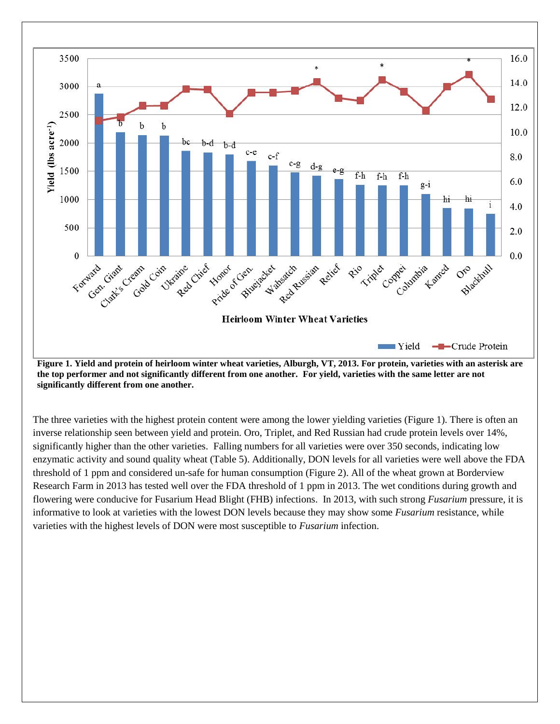

**Figure 1. Yield and protein of heirloom winter wheat varieties, Alburgh, VT, 2013. For protein, varieties with an asterisk are the top performer and not significantly different from one another. For yield, varieties with the same letter are not significantly different from one another.**

The three varieties with the highest protein content were among the lower yielding varieties (Figure 1). There is often an inverse relationship seen between yield and protein. Oro, Triplet, and Red Russian had crude protein levels over 14%, significantly higher than the other varieties. Falling numbers for all varieties were over 350 seconds, indicating low enzymatic activity and sound quality wheat (Table 5). Additionally, DON levels for all varieties were well above the FDA threshold of 1 ppm and considered un-safe for human consumption (Figure 2). All of the wheat grown at Borderview Research Farm in 2013 has tested well over the FDA threshold of 1 ppm in 2013. The wet conditions during growth and flowering were conducive for Fusarium Head Blight (FHB) infections. In 2013, with such strong *Fusarium* pressure, it is informative to look at varieties with the lowest DON levels because they may show some *Fusarium* resistance, while varieties with the highest levels of DON were most susceptible to *Fusarium* infection.